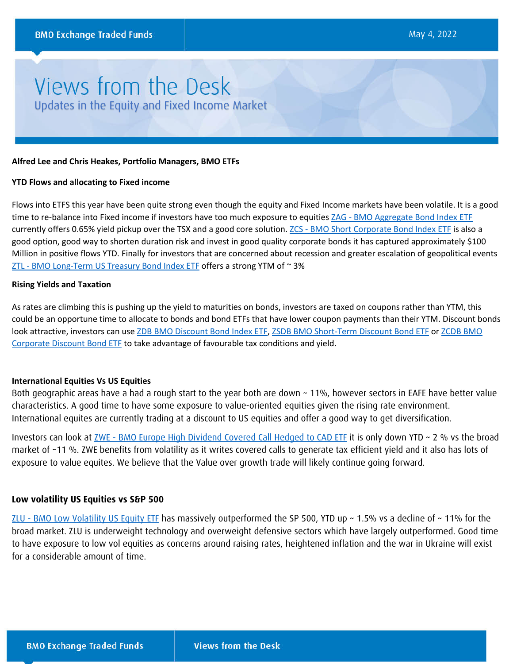# Views from the Desk Updates in the Equity and Fixed Income Market

#### **Alfred Lee and Chris Heakes, Portfolio Managers, BMO ETFs**

#### **YTD Flows and allocating to Fixed income**

Flows into ETFS this year have been quite strong even though the equity and Fixed Income markets have been volatile. It is a good time to re-balance into Fixed income if investors have too much exposure to equities ZAG - [BMO Aggregate Bond Index ETF](https://www.bmo.com/gam/ca/advisor/products/etfs?fundUrl=/fundProfile/ZAG#fundUrl=%2FfundProfile%2FZAG) currently offers 0.65% yield pickup over the TSX and a good core solution. ZCS - [BMO Short Corporate Bond Index ETF](https://www.bmo.com/gam/ca/advisor/products/etfs?fundUrl=/fundProfile/ZCS#fundUrl=%2FfundProfile%2FZCS) is also a good option, good way to shorten duration risk and invest in good quality corporate bonds it has captured approximately \$100 Million in positive flows YTD. Finally for investors that are concerned about recession and greater escalation of geopolitical events ZTL - [BMO Long-Term US Treasury Bond Index ETF](https://www.bmo.com/gam/ca/advisor/products/etfs?fundUrl=/fundProfile/ZTL#fundUrl=%2FfundProfile%2FZTL) offers a strong YTM of ~3%

#### **Rising Yields and Taxation**

As rates are climbing this is pushing up the yield to maturities on bonds, investors are taxed on coupons rather than YTM, this could be an opportune time to allocate to bonds and bond ETFs that have lower coupon payments than their YTM. Discount bonds look attractive, investors can us[e ZDB BMO Discount Bond Index ETF,](https://api.kurtosys.io/tools/ksys317/fundProfile/ZDB?locale=en-CA) [ZSDB BMO Short-Term Discount Bond ETF](https://api.kurtosys.io/tools/ksys317/fundProfile/ZSDB?locale=en-CA) or [ZCDB BMO](https://api.kurtosys.io/tools/ksys317/fundProfile/ZCDB?locale=en-CA)  [Corporate Discount Bond ETF](https://api.kurtosys.io/tools/ksys317/fundProfile/ZCDB?locale=en-CA) to take advantage of favourable tax conditions and yield.

### **International Equities Vs US Equities**

Both geographic areas have a had a rough start to the year both are down ~ 11%, however sectors in EAFE have better value characteristics. A good time to have some exposure to value-oriented equities given the rising rate environment. International equites are currently trading at a discount to US equities and offer a good way to get diversification.

Investors can look at <u>ZWE - [BMO Europe High Dividend Covered Call Hedged to CAD ETF](https://www.bmo.com/gam/ca/advisor/products/etfs?fundUrl=/fundProfile/ZWE#fundUrl=%2FfundProfile%2FZWE)</u> it is only down YTD ~ 2 % vs the broad market of ~11 %. ZWE benefits from volatility as it writes covered calls to generate tax efficient yield and it also has lots of exposure to value equites. We believe that the Value over growth trade will likely continue going forward.

## **Low volatility US Equities vs S&P 500**

ZLU - [BMO Low Volatility US Equity ETF](https://www.bmo.com/gam/ca/advisor/products/etfs?fundUrl=/fundProfile/ZLU#fundUrl=%2FfundProfile%2FZLU) has massively outperformed the SP 500, YTD up ~ 1.5% vs a decline of ~ 11% for the broad market. ZLU is underweight technology and overweight defensive sectors which have largely outperformed. Good time to have exposure to low vol equities as concerns around raising rates, heightened inflation and the war in Ukraine will exist for a considerable amount of time.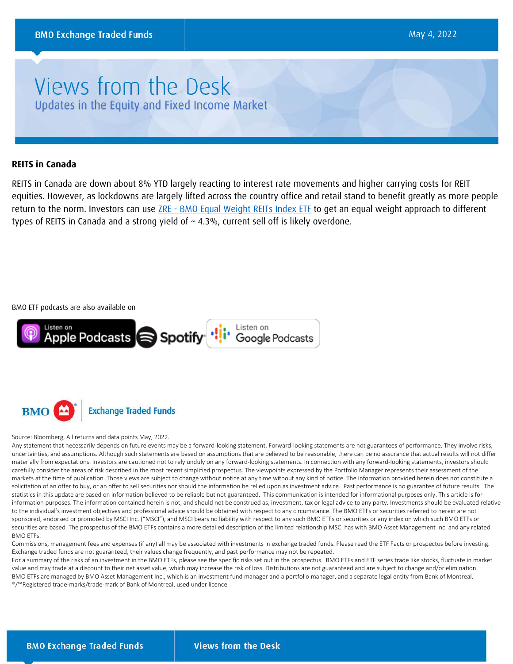# Views from the Desk Updates in the Equity and Fixed Income Market

## **REITS in Canada**

REITS in Canada are down about 8% YTD largely reacting to interest rate movements and higher carrying costs for REIT equities. However, as lockdowns are largely lifted across the country office and retail stand to benefit greatly as more people return to the norm. Investors can use ZRE - [BMO Equal Weight REITs Index ETF](https://www.bmo.com/gam/ca/advisor/products/etfs?fundUrl=/fundProfile/ZRE#fundUrl=%2FfundProfile%2FZRE) to get an equal weight approach to different types of REITS in Canada and a strong yield of ~ 4.3%, current sell off is likely overdone.

BMO ETF podcasts are also available on





### Source: Bloomberg, All returns and data points May, 2022.

Any statement that necessarily depends on future events may be a forward-looking statement. Forward-looking statements are not guarantees of performance. They involve risks, uncertainties, and assumptions. Although such statements are based on assumptions that are believed to be reasonable, there can be no assurance that actual results will not differ materially from expectations. Investors are cautioned not to rely unduly on any forward-looking statements. In connection with any forward-looking statements, investors should carefully consider the areas of risk described in the most recent simplified prospectus. The viewpoints expressed by the Portfolio Manager represents their assessment of the markets at the time of publication. Those views are subject to change without notice at any time without any kind of notice. The information provided herein does not constitute a solicitation of an offer to buy, or an offer to sell securities nor should the information be relied upon as investment advice. Past performance is no guarantee of future results. The statistics in this update are based on information believed to be reliable but not guaranteed. This communication is intended for informational purposes only. This article is for information purposes. The information contained herein is not, and should not be construed as, investment, tax or legal advice to any party. Investments should be evaluated relative to the individual's investment objectives and professional advice should be obtained with respect to any circumstance. The BMO ETFs or securities referred to herein are not sponsored, endorsed or promoted by MSCI Inc. ("MSCI"), and MSCI bears no liability with respect to any such BMO ETFs or securities or any index on which such BMO ETFs or securities are based. The prospectus of the BMO ETFs contains a more detailed description of the limited relationship MSCI has with BMO Asset Management Inc. and any related BMO ETFs.

Commissions, management fees and expenses (if any) all may be associated with investments in exchange traded funds. Please read the ETF Facts or prospectus before investing. Exchange traded funds are not guaranteed, their values change frequently, and past performance may not be repeated.

For a summary of the risks of an investment in the BMO ETFs, please see the specific risks set out in the prospectus. BMO ETFs and ETF series trade like stocks, fluctuate in market value and may trade at a discount to their net asset value, which may increase the risk of loss. Distributions are not guaranteed and are subject to change and/or elimination. BMO ETFs are managed by BMO Asset Management Inc., which is an investment fund manager and a portfolio manager, and a separate legal entity from Bank of Montreal. ®/™Registered trade-marks/trade-mark of Bank of Montreal, used under licence